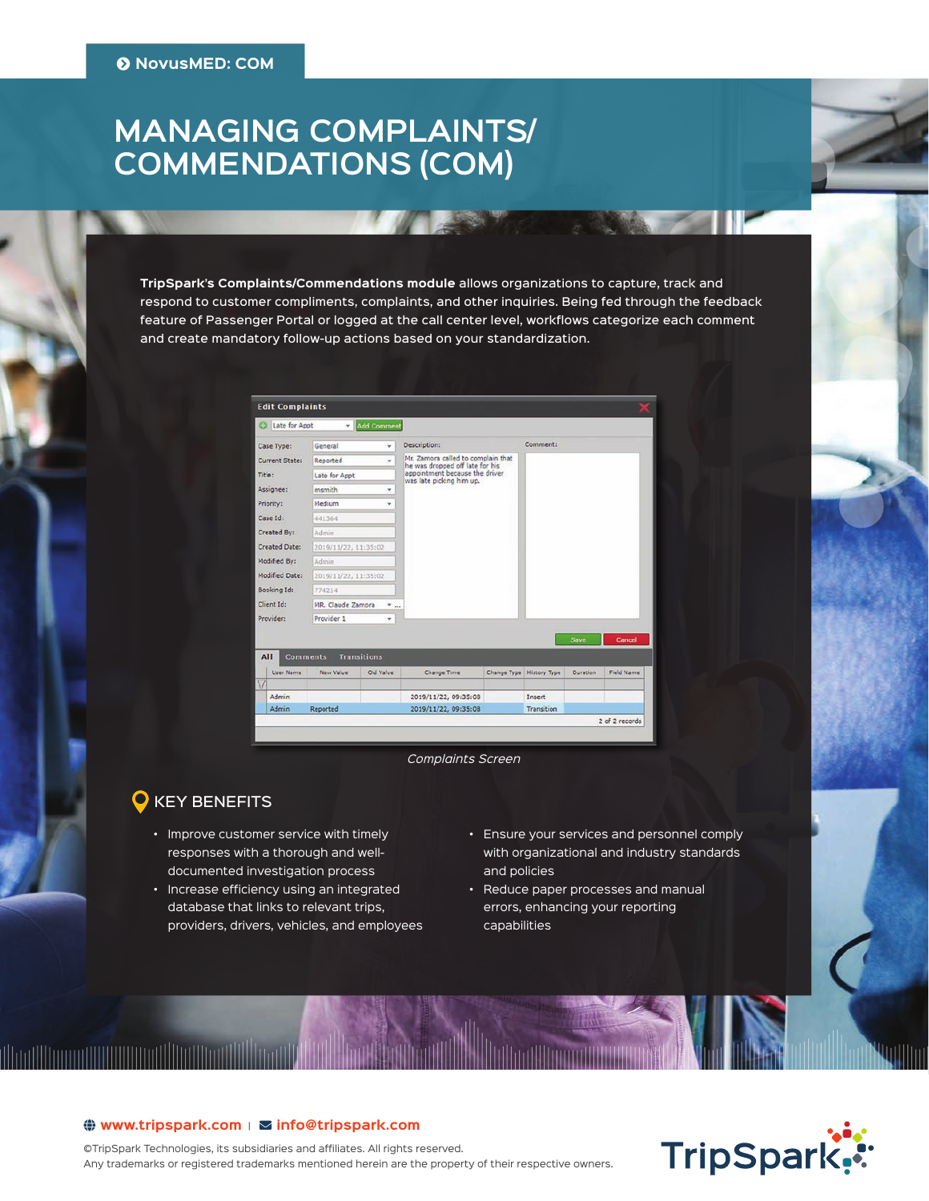# **MANAGING COMPLAINTS/ COMMENDATIONS (COM)**

**TripSpark's Complaints/Commendations module** allows organizations to capture, track and respond to customer compliments, complaints, and other inquiries. Being fed through the feedback feature of Passenger Portal or logged at the call center level, workflows categorize each comment and create mandatory follow-up actions based on your standardization.

|                          | <b>Edit Complaints</b> |                                                              |                    |                                                                                                                                     |             |              |             |                |
|--------------------------|------------------------|--------------------------------------------------------------|--------------------|-------------------------------------------------------------------------------------------------------------------------------------|-------------|--------------|-------------|----------------|
|                          | Late for Appt          | ٠                                                            | <b>Add Comment</b> |                                                                                                                                     |             |              |             |                |
|                          | Case Type:             | General<br>٠                                                 |                    | Description:                                                                                                                        |             | Comment:     |             |                |
| Current State:<br>Title: |                        | Reported<br>٠<br>Late for Appt<br>msmith<br>٠<br>Medium<br>٠ |                    | Mr. Zamora called to complain that<br>he was dropped off late for his<br>appointment because the driver<br>was late picking him up. |             |              |             |                |
|                          |                        |                                                              |                    |                                                                                                                                     |             |              |             |                |
| Assignee:                |                        |                                                              |                    |                                                                                                                                     |             |              |             |                |
| Priority:                |                        |                                                              |                    |                                                                                                                                     |             |              |             |                |
| Case Id:                 |                        | 441364                                                       |                    |                                                                                                                                     |             |              |             |                |
| Created By:              |                        | Admin                                                        |                    |                                                                                                                                     |             |              |             |                |
| Created Date:            |                        | 2019/11/22, 11:35:02                                         |                    |                                                                                                                                     |             |              |             |                |
| Modified By:             |                        | Admin                                                        |                    |                                                                                                                                     |             |              |             |                |
| Modified Date:           |                        | 2019/11/22, 11:35:02                                         |                    |                                                                                                                                     |             |              |             |                |
| Booking Id:              |                        | 774214                                                       |                    |                                                                                                                                     |             |              |             |                |
| Client Id:<br>Provider:  |                        | MR. Claude Zamora<br>$\mathbf{v}_{\text{max}}$               |                    |                                                                                                                                     |             |              |             |                |
|                          |                        | Provider 1<br>٠                                              |                    |                                                                                                                                     |             |              |             |                |
|                          |                        |                                                              |                    |                                                                                                                                     |             |              | <b>Save</b> | Cancel         |
| All                      |                        | <b>Comments</b>                                              | <b>Transitions</b> |                                                                                                                                     |             |              |             |                |
|                          | User Name              | New Value                                                    | Old Value          | Change Time                                                                                                                         | Change Type | History Type | Duration    | Field Name     |
| $\overline{\mathbf{V}}$  |                        |                                                              |                    |                                                                                                                                     |             |              |             |                |
|                          | <b>Admin</b>           |                                                              |                    | 2019/11/22, 09:35:08                                                                                                                |             | Insert       |             |                |
|                          | Admin                  | <b>Reported</b>                                              |                    | 2019/11/22, 09:35:08                                                                                                                |             | Transition   |             | 2 of 2 records |

*Complaints Screen*

### KEY BENEFITS

illinnillinninillillillinnillli

- Improve customer service with timely responses with a thorough and welldocumented investigation process
- Increase efficiency using an integrated database that links to relevant trips, providers, drivers, vehicles, and employees
- Ensure your services and personnel comply with organizational and industry standards and policies
- Reduce paper processes and manual errors, enhancing your reporting capabilities

# TripSpark.

#### $\bigoplus$  www.tripspark.com |  $\Sigma$  info@ tripspark.com

©TripSpark Technologies, its subsidiaries and affiliates. All rights reserved. Any trademarks or registered trademarks mentioned herein are the property of their respective owners.